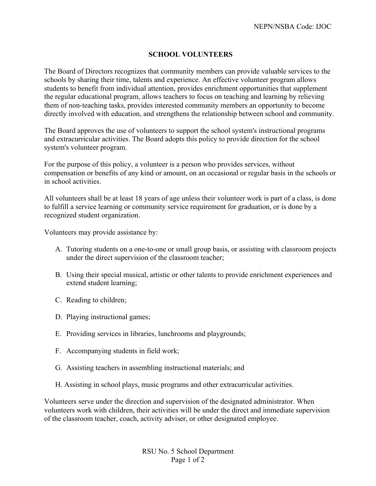## **SCHOOL VOLUNTEERS**

The Board of Directors recognizes that community members can provide valuable services to the schools by sharing their time, talents and experience. An effective volunteer program allows students to benefit from individual attention, provides enrichment opportunities that supplement the regular educational program, allows teachers to focus on teaching and learning by relieving them of non-teaching tasks, provides interested community members an opportunity to become directly involved with education, and strengthens the relationship between school and community.

The Board approves the use of volunteers to support the school system's instructional programs and extracurricular activities. The Board adopts this policy to provide direction for the school system's volunteer program.

For the purpose of this policy, a volunteer is a person who provides services, without compensation or benefits of any kind or amount, on an occasional or regular basis in the schools or in school activities.

All volunteers shall be at least 18 years of age unless their volunteer work is part of a class, is done to fulfill a service learning or community service requirement for graduation, or is done by a recognized student organization.

Volunteers may provide assistance by:

- A. Tutoring students on a one-to-one or small group basis, or assisting with classroom projects under the direct supervision of the classroom teacher;
- B. Using their special musical, artistic or other talents to provide enrichment experiences and extend student learning;
- C. Reading to children;
- D. Playing instructional games;
- E. Providing services in libraries, lunchrooms and playgrounds;
- F. Accompanying students in field work;
- G. Assisting teachers in assembling instructional materials; and
- H. Assisting in school plays, music programs and other extracurricular activities.

Volunteers serve under the direction and supervision of the designated administrator. When volunteers work with children, their activities will be under the direct and immediate supervision of the classroom teacher, coach, activity adviser, or other designated employee.